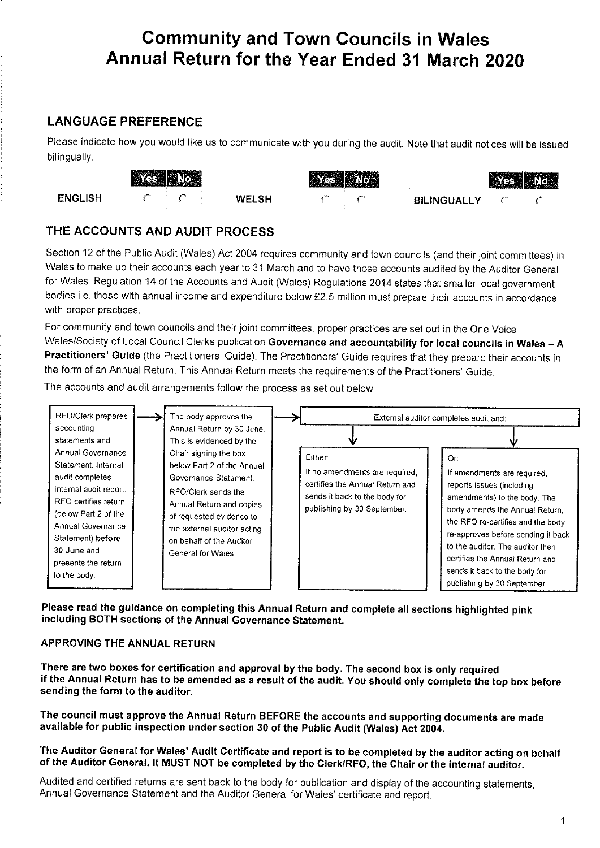# Community and Town Councils in Wales Annual Return for the Year Ended 31 March 2020

## LANGUAGE PREFERENCE

Please indicate how you would like us to communicate with you during the audit. Note that audít notices will be issued

| bilingually.   |        |              |        |                    |        |  |
|----------------|--------|--------------|--------|--------------------|--------|--|
|                | Yes No |              | Yes No |                    | Yes No |  |
| <b>ENGLISH</b> |        | <b>WELSH</b> |        | <b>BILINGUALLY</b> |        |  |

## THE ACCOUNTS AND AUDIT PROCESS

Section 12 of the Public Audit (Wales) Act 2004 requires community and town councils (and their joint committees) in Wales to make up their accounts each year to 31 March and to have those accounts audited by the Auditor General for Wales. Regulation 14 of the Accounts and Audit (Wales) Regulations 2014 states that smaller local government bodies i.e. those with annual income and expenditure below Ê2.5 million must prepare their accounts in accordance with proper practices.

For community and town councils and their joint committees, proper practices are set out in the One Voice Wales/Society of Local Council Clerks publication Governance and accountability for local councils in Wales - A Practitioners' Guide (the Practitioners' Guide). The Practitioners' Guide requires that they prepare their accounts in the form of an Annual Return. This Annual Return meets the requirements of the Practitioners' Guide.

The accounts and audit arrangements follow the process as set out below.



Please read the guidance on completing this Annual Return and complete all sections highlighted pink including BOTH sections of the Annual Governance Statement.

## **APPROVING THE ANNUAL RETURN**

There are two boxes for certification and approval by the body. The second box is only required if the Annual Return has to be amended as a result of the audit. You should only complete the top box before sending the form to the auditor.

The council must approve the Annual Return BEFORE the accounts and supporting documents are made available for public inspection under section 30 of the Public Audit (Wales) Act 2004.

### The Auditor General for Wales' Audit Certificate and report is to be completed by the auditor acting on behalf of the Auditor General. It MUST NOT be completed by the Clerk/RFO, the Chair or the internal auditor.

Audited and certified returns are sent back to the body for publication and display of the accounting statements, Annual Governance Statement and the Auditor General for Wales' certificate and report.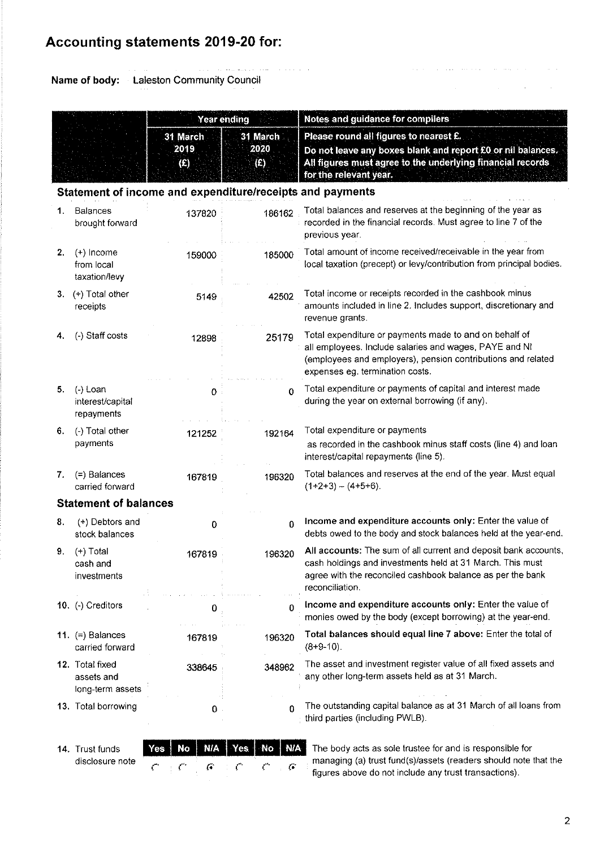# Accounting statements 2019-20 for:

Name of body: Laleston Community Council

disclosure note

|    |                                                   |                                                           | Year ending             | Notes and guidance for compilers                                                                                                                                                                                    |  |  |  |
|----|---------------------------------------------------|-----------------------------------------------------------|-------------------------|---------------------------------------------------------------------------------------------------------------------------------------------------------------------------------------------------------------------|--|--|--|
|    |                                                   | 31 March<br>2019<br>$\mathbf{(f)}$                        | 31 March<br>2020<br>(E) | Please round all figures to nearest £.<br>Do not leave any boxes blank and report £0 or nil balances.<br>All figures must agree to the underlying financial records<br>for the relevant year.                       |  |  |  |
|    |                                                   | Statement of income and expenditure/receipts and payments |                         |                                                                                                                                                                                                                     |  |  |  |
| 1. | <b>Balances</b><br>brought forward                | 137820                                                    | 186162                  | Total balances and reserves at the beginning of the year as<br>recorded in the financial records. Must agree to line 7 of the<br>previous year.                                                                     |  |  |  |
| 2. | $(+)$ Income<br>from local<br>taxation/levy       | 159000                                                    | 185000                  | Total amount of income received/receivable in the year from<br>local taxation (precept) or levy/contribution from principal bodies.                                                                                 |  |  |  |
| 3. | (+) Total other<br>receipts                       | 5149                                                      | 42502                   | Total income or receipts recorded in the cashbook minus<br>amounts included in line 2. Includes support, discretionary and<br>revenue grants.                                                                       |  |  |  |
| 4. | (-) Staff costs                                   | 12898                                                     | 25179                   | Total expenditure or payments made to and on behalf of<br>all employees. Include salaries and wages, PAYE and NI<br>(employees and employers), pension contributions and related<br>expenses eg. termination costs. |  |  |  |
| 5. | $(-)$ Loan<br>interest/capital<br>repayments      | 0                                                         | $\Omega$                | Total expenditure or payments of capital and interest made<br>during the year on external borrowing (if any).                                                                                                       |  |  |  |
| 6. | (-) Total other<br>payments                       | 121252                                                    | 192164                  | Total expenditure or payments<br>as recorded in the cashbook minus staff costs (line 4) and loan<br>interest/capital repayments (line 5).                                                                           |  |  |  |
| 7. | (=) Balances<br>carried forward                   | 167819                                                    | 196320                  | Total balances and reserves at the end of the year. Must equal<br>$(1+2+3) - (4+5+6)$ .                                                                                                                             |  |  |  |
|    | <b>Statement of balances</b>                      |                                                           |                         |                                                                                                                                                                                                                     |  |  |  |
| 8. | (+) Debtors and<br>stock balances                 | 0                                                         | 0                       | Income and expenditure accounts only: Enter the value of<br>debts owed to the body and stock balances held at the year-end.                                                                                         |  |  |  |
| 9. | (+) Total<br>cash and<br>investments              | 167819                                                    | 196320                  | All accounts: The sum of all current and deposit bank accounts,<br>cash holdings and investments held at 31 March. This must<br>agree with the reconciled cashbook balance as per the bank<br>reconciliation.       |  |  |  |
|    | 10. (-) Creditors                                 | 0                                                         | 0                       | Income and expenditure accounts only: Enter the value of<br>monies owed by the body (except borrowing) at the year-end.                                                                                             |  |  |  |
|    | 11. $(=)$ Balances<br>carried forward             | 167819                                                    | 196320                  | Total balances should equal line 7 above: Enter the total of<br>$(8+9-10)$ .                                                                                                                                        |  |  |  |
|    | 12. Total fixed<br>assets and<br>long-term assets | 338645                                                    | 348962                  | The asset and investment register value of all fixed assets and<br>any other long-term assets held as at 31 March.                                                                                                  |  |  |  |
|    | 13. Total borrowing                               | 0                                                         | O.                      | The outstanding capital balance as at 31 March of all loans from<br>third parties (including PWLB).                                                                                                                 |  |  |  |
|    | 14. Trust funds                                   | Yes                                                       |                         | No   N/A   Yes   No   N/A   The body acts as sole trustee for and is responsible for                                                                                                                                |  |  |  |

 $\begin{array}{|c|c|c|c|c|c|}\hline \textbf{Yes} & \textbf{No} & \textbf{NA} & \textbf{Yes} & \textbf{No} & \textbf{NA} \\\hline \textbf{C} & \textbf{C} & \textbf{G} & \textbf{C} & \textbf{C} & \textbf{G} \\\hline \end{array}$ Yes No N/A The body acts as sole trustee for and is responsible for managing (a) trust fund(s)/assets (readers should note that the figures above do not include any trust transactions).

, where  $\alpha$  is the mass of the contraction of the contraction of  $\alpha$ 

 $\label{eq:2.1} \mathcal{L}(\mathbf{q}) = \mathcal{L}(\mathbf{q}) + \mathcal{L}(\mathbf{q}) = \mathcal{L}(\mathbf{q}) + \mathcal{L}(\mathbf{q})$ 

 $\alpha\rightarrow$ 

2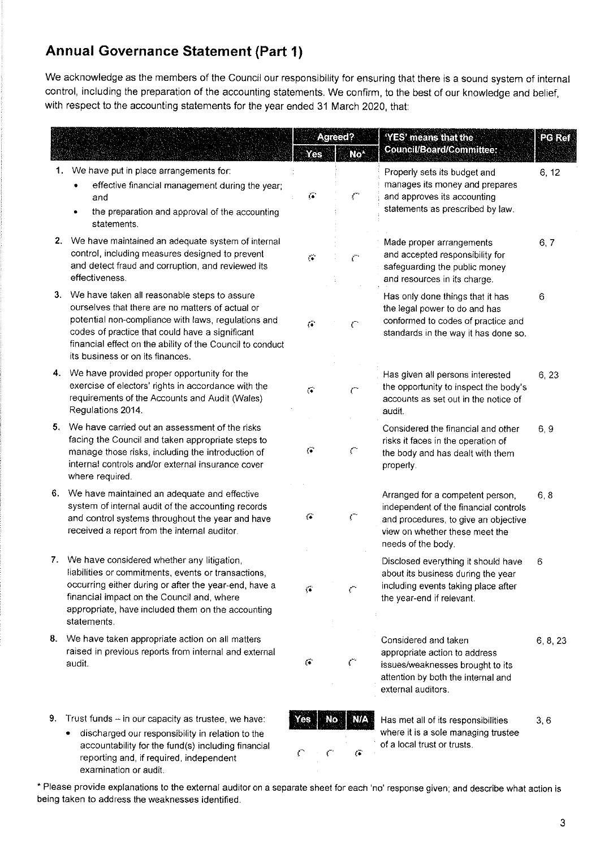# Annual Governance Statement (Part 1)

We acknowledge as the members of the Council our responsibility for ensuring that there is a sound system of internal control, including the preparation of the accounting statements. We confirm, to the best of our knowledge and belief, with respect to the accounting statements for the year ended 31 March 2020, that:

|    |                                                                                                                                                                                                                                                                                                                | Yes.                    | Agreed?<br>No <sup>*</sup> | 'YES' means that the<br><b>Council/Board/Committee:</b>                                                                                                                   | <b>PG Ref</b> |
|----|----------------------------------------------------------------------------------------------------------------------------------------------------------------------------------------------------------------------------------------------------------------------------------------------------------------|-------------------------|----------------------------|---------------------------------------------------------------------------------------------------------------------------------------------------------------------------|---------------|
|    | 1. We have put in place arrangements for:<br>effective financial management during the year;<br>and<br>the preparation and approval of the accounting<br>statements.                                                                                                                                           | $\hat{\bullet}$         | $\zeta$ .                  | Properly sets its budget and<br>manages its money and prepares<br>and approves its accounting<br>statements as prescribed by law.                                         | 6, 12         |
|    | 2. We have maintained an adequate system of internal<br>control, including measures designed to prevent<br>and detect fraud and corruption, and reviewed its<br>effectiveness.                                                                                                                                 | $\widehat{\bullet}$     | r                          | Made proper arrangements<br>and accepted responsibility for<br>safeguarding the public money<br>and resources in its charge.                                              | 6, 7          |
|    | 3. We have taken all reasonable steps to assure<br>ourselves that there are no matters of actual or<br>potential non-compliance with laws, regulations and<br>codes of practice that could have a significant<br>financial effect on the ability of the Council to conduct<br>its business or on its finances. | ŵ                       | $\mathcal{C}$              | Has only done things that it has<br>the legal power to do and has<br>conformed to codes of practice and<br>standards in the way it has done so.                           | 6             |
|    | 4. We have provided proper opportunity for the<br>exercise of electors' rights in accordance with the<br>requirements of the Accounts and Audit (Wales)<br>Regulations 2014.                                                                                                                                   | $\widehat{\phantom{a}}$ | $\mathcal{C}^*$            | Has given all persons interested<br>the opportunity to inspect the body's<br>accounts as set out in the notice of<br>audit.                                               | 6, 23         |
| 5. | We have carried out an assessment of the risks<br>facing the Council and taken appropriate steps to<br>manage those risks, including the introduction of<br>internal controls and/or external insurance cover<br>where required.                                                                               | $\ddot{\bullet}$        | C                          | Considered the financial and other<br>risks it faces in the operation of<br>the body and has dealt with them<br>properly.                                                 | 6, 9          |
| 6. | We have maintained an adequate and effective<br>system of internal audit of the accounting records<br>and control systems throughout the year and have<br>received a report from the internal auditor.                                                                                                         | $\widehat{G}$           | $\zeta^{\sim}$             | Arranged for a competent person,<br>independent of the financial controls<br>and procedures, to give an objective<br>view on whether these meet the<br>needs of the body. | 6, 8          |
| 7. | We have considered whether any litigation,<br>liabilities or commitments, events or transactions,<br>occurring either during or after the year-end, have a<br>financial impact on the Council and, where<br>appropriate, have included them on the accounting<br>statements.                                   | ť.                      | €                          | Disclosed everything it should have<br>about its business during the year<br>including events taking place after<br>the year-end if relevant.                             | 6             |
| 8. | We have taken appropriate action on all matters<br>raised in previous reports from internal and external<br>audit.                                                                                                                                                                                             | $\epsilon$              | Č                          | Considered and taken<br>appropriate action to address<br>issues/weaknesses brought to its<br>attention by both the internal and<br>external auditors.                     | 6, 8, 23      |
| 9. | Trust funds - in our capacity as trustee, we have:<br>discharged our responsibility in relation to the<br>٠                                                                                                                                                                                                    | No<br>res               | N/A                        | Has met all of its responsibilities<br>where it is a sole managing trustee                                                                                                | 3, 6          |

discharged our responsibility in relation to the accountability for the fund(s) including financial reporting and, if required, independent examination or audit.

\* Please provide explanations to the external auditor on a separate sheet for each 'no' response given; and describe what action is being taken to address the weaknesses identified.

 $C \cdot C$ 

 $\widehat{G}$ 

of a local trust or trusts.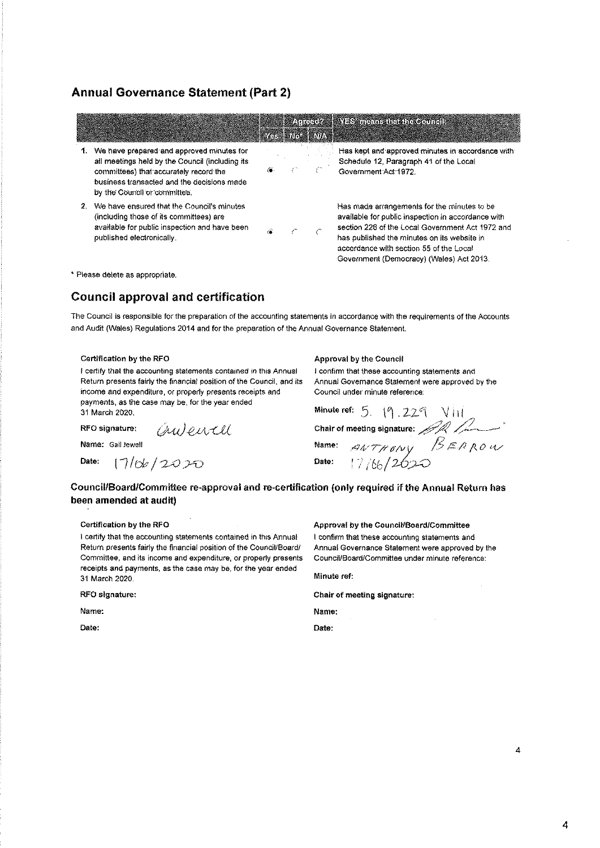## **Annual Governance Statement (Part 2)**

|    |                                                                                                                                                                                                                      |    | <b>ALL ASSIGNS AND REAL</b> | <b>A Andreas Andreas Andreas Andreas Andreas</b>                                                                                                                                                                                                                                            |
|----|----------------------------------------------------------------------------------------------------------------------------------------------------------------------------------------------------------------------|----|-----------------------------|---------------------------------------------------------------------------------------------------------------------------------------------------------------------------------------------------------------------------------------------------------------------------------------------|
| 1. | We have prepared and approved minutes for<br>all meetings held by the Council (including its<br>committees) that accurately record the<br>business transacted and the decisions made<br>by the Council or committee. | Æ. |                             | Has kept and approved minutes in accordance with<br>Schedule 12, Paragraph 41 of the Local<br>Government Act 1972:                                                                                                                                                                          |
|    | We have ensured that the Council's minutes<br>(including those of its committees) are<br>available for public inspection and have been<br>published electronically.                                                  |    |                             | Has made arrangements for the minutes to be<br>available for public inspection in accordance with<br>section 228 of the Local Government Act 1972 and<br>has published the minutes on its website in<br>accordance with section 55 of the Local<br>Government (Democracy) (Wales) Act 2013. |

\* Please delete as appropriate.

### **Council approval and certification**

The Council is responsible for the preparation of the accounting statements in accordance with the requirements of the Accounts and Audit (Wales) Regulations 2014 and for the preparation of the Annual Governance Statement.

#### Certification by the RFO

I certify that the accounting statements contained in this Annual Return presents fairly the financial position of the Council, and its income and expenditure, or properly presents receipts and payments, as the case may be, for the year ended 31 March 2020.

Orweinch

RFO signature:

Name: Gail Jewell

 $17106/2020$ Date:

#### **Approval by the Council**

I confirm that these accounting statements and Annual Governance Statement were approved by the Council under minute reference:

Minute ref: 5. 19.229 VIII<br>Chair of meeting signature: 22<br>Name: 247/10/vy BEAROW<br>Date: 17/66/2020

#### Council/Board/Committee re-approval and re-certification (only required if the Annual Return has been amended at audit)

#### Certification by the RFO

I certify that the accounting statements contained in this Annual Return presents fairly the financial position of the Council/Board/ Committee, and its income and expenditure, or properly presents receipts and payments, as the case may be, for the year ended 31 March 2020.

RFO signature:

Name:

Date:

#### Approval by the Council/Board/Committee

I confirm that these accounting statements and Annual Governance Statement were approved by the Council/Board/Committee under minute reference:

Minute ref:

Chair of meeting signature:

Name:

Date: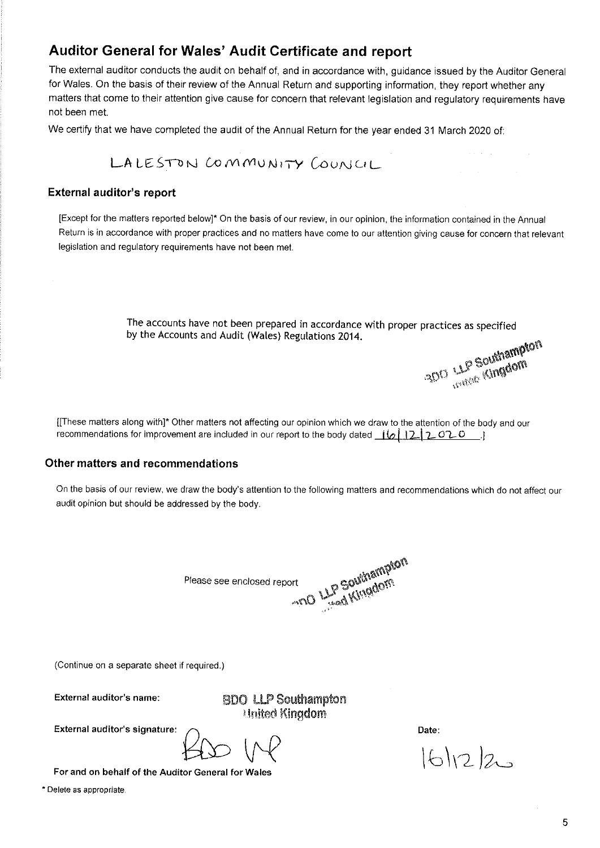# Auditor General for Wales' Audit Certificate and report

The external auditor conducts the audit on behalf of, and in accordance with, guidance issued by the Auditor General for Wales. On the basis of their review of the Annual Return and supporting information, they report whether any matters that come to their attention give cause for concern that relevant legislation and regulatory requirements have not been met.

We certify that we have completed the audit of the Annual Return for the year ended 31 March 2020 of:

LALESTON COMMUNITY COUNCIL

### **External auditor's report**

[Except for the matters reported below]\* On the basis of our review, in our opinion, the information contained in the Annual Return is in accordance with proper practices and no matters have come to our attention giving cause for concern that relevant legislation and regulatory requirements have not been met.

> The accounts have not been prepared in accordance with proper practices as specified by the Accounts and Audit (Wales) Regulations 2014.

and LLP Southampton

 $\sim 10^7$ 

[[These matters along with]\* Other matters not affecting our opinion which we draw to the attention of the body and our recommendations for improvement are included in our report to the body dated  $\left(\begin{array}{c|c} 1 & 2 & 2 & 0 & 0 \\ 0 & 1 & 2 & 2 & 0 & 0 \\ 0 & 0 & 0 & 0 & 0 & 0 \end{array}\right)$ 

### Other matters and recommendations

On the basis of our review, we draw the body's attention to the following matters and recommendations which do not affect our audit opinion but should be addressed by the body.

Please see enclosed report

mno LLP Sputhampton

(Continue on a separate sheet if required.)

External auditor's name:

**BDO LLP Southampton Minited Kingdom** 

External auditor's signature:

For and on behalf of the Auditor General for Wales

\* Delete as appropriate.

Date:

 $161222$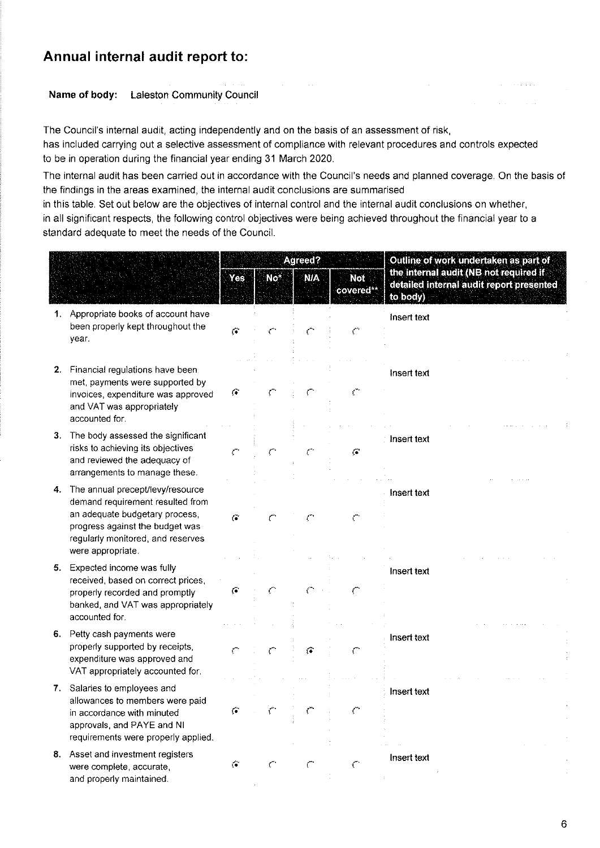## Annual internal audit report to:

### Name of body: Laleston Community Council

The Council's internal audit, acting independently and on the basis of an assessment of risk,

has included carrying out a selective assessment of compliance with relevant procedures and controls expected to be in operation during the financial year ending 31 March 2020.

The internal audit has been carried out in accordance with the Council's needs and planned coverage. On the basis of the findings in the areas examined, the internal audit conclusions are summarised

in this table. Set out below are the objectives of internal control and the internal audit conclusions on whether,

in all significant respects, the following control objectives were being achieved throughout the financial year to a standard adequate to meet the needs of the Council.

|    |                                                                                                                                                                                                     | Agreed?       |                 |               |                      | Outline of work undertaken as part of                                                          |  |
|----|-----------------------------------------------------------------------------------------------------------------------------------------------------------------------------------------------------|---------------|-----------------|---------------|----------------------|------------------------------------------------------------------------------------------------|--|
|    |                                                                                                                                                                                                     | Yes           | No <sup>2</sup> | <b>N/A</b>    | Not<br>covered**     | the internal audit (NB not required if<br>detailed internal audit report presented<br>to body) |  |
| 1. | Appropriate books of account have<br>been properly kept throughout the<br>year.                                                                                                                     | ţ.            |                 |               |                      | Insert text                                                                                    |  |
| 2. | Financial regulations have been<br>met, payments were supported by<br>invoices, expenditure was approved<br>and VAT was appropriately<br>accounted for.                                             | Ģ             |                 |               |                      | Insert text                                                                                    |  |
| З. | The body assessed the significant<br>risks to achieving its objectives<br>and reviewed the adequacy of<br>arrangements to manage these.                                                             |               |                 |               | ï5                   | Insert text                                                                                    |  |
| 4. | The annual precept/levy/resource<br>demand requirement resulted from<br>an adequate budgetary process,<br>progress against the budget was<br>regularly monitored, and reserves<br>were appropriate. | $\mathcal{C}$ |                 |               | $\mathcal{C}^{\ast}$ | Insert text                                                                                    |  |
| 5. | Expected income was fully<br>received, based on correct prices,<br>properly recorded and promptly<br>banked, and VAT was appropriately<br>accounted for.                                            | Ç.            |                 |               | $\subset$            | Insert text                                                                                    |  |
| 6. | Petty cash payments were<br>properly supported by receipts,<br>expenditure was approved and<br>VAT appropriately accounted for.                                                                     |               |                 | $\vec{A}$     |                      | Insert text                                                                                    |  |
|    | 7. Salaries to employees and<br>allowances to members were paid<br>in accordance with minuted<br>approvals, and PAYE and NI<br>requirements were properly applied.                                  | €             |                 |               |                      | Insert text                                                                                    |  |
|    | 8. Asset and investment registers<br>were complete, accurate,<br>and properly maintained.                                                                                                           | G.            |                 | $\mathcal{C}$ | $\mathcal{C}$        | Insert text                                                                                    |  |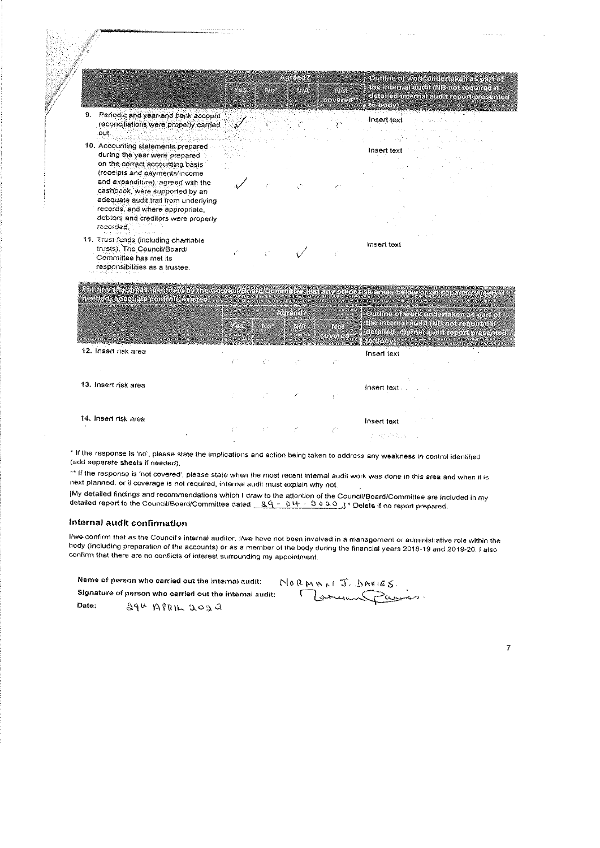|                                                                                                                                                                                                                                             |     | NG MANGKA<br><b>The Committee of the Committee of the Committee of the Committee</b> | an a<br>5003300 | Chamista voltant Christian (1999)<br><u>the breaking of the contractor</u><br>der Wenner nebeur in er van de groep<br>ministr                                                                      |
|---------------------------------------------------------------------------------------------------------------------------------------------------------------------------------------------------------------------------------------------|-----|--------------------------------------------------------------------------------------|-----------------|----------------------------------------------------------------------------------------------------------------------------------------------------------------------------------------------------|
| Periodic and year-end bank account<br>9.<br>reconciliations were properly carried<br>out.<br>10. Accounting statements prepared<br>during the year were prepared<br>on the correct accounting basis<br>(receipts and payments/income        |     |                                                                                      |                 | Insert text<br><b>Street Room</b><br>Insert text                                                                                                                                                   |
| and expenditure), agreed with the<br>cashbook, were supported by an<br>adequate audit trail from underlying<br>records, and where appropriate,<br>debtors and creditors were properly<br>recorded.<br>11. Trust funds (including charitable |     |                                                                                      |                 |                                                                                                                                                                                                    |
| trusts). The Council/Board/<br>Committee has met its<br>responsibilities as a trustee.                                                                                                                                                      |     |                                                                                      |                 | Insert text<br>en sy fra det gueninful reduction of the formality of the dependence of the construction of the control of the                                                                      |
| n Stadt fra Frankriken og den fra Stadt fra Stadt                                                                                                                                                                                           |     | 20 IA R<br><b>STAR BEAT AND STATE</b>                                                | 173<br>ang pang | CANNELL LE LE CONSTANT DE LA CONSTANTIVITÀ DEL CONSTANTIVO DE LA CONSTANTIVITÀ DEL CONSTANTIVO DE LA CONSTANT<br><u> Kanadia wa kusia mamba 1</u><br><u>anana mama mang pangang</u><br><b>MATE</b> |
| 12. Insert risk area                                                                                                                                                                                                                        | ₹°° |                                                                                      | 77              | Insert text                                                                                                                                                                                        |
| 13. Insert risk area                                                                                                                                                                                                                        |     |                                                                                      | $\epsilon^{-1}$ | insert text.                                                                                                                                                                                       |
|                                                                                                                                                                                                                                             |     |                                                                                      |                 |                                                                                                                                                                                                    |

 $\omega=1.1\ldots$ 

\* If the response is 'no', please state the implications and action being taken to address any weakness in control identified (add separate sheets if needed).

\*\* If the response is 'not covered', please state when the most recent internal audit work was done in this area and when it is next planned, or if coverage is not required, internal audit must explain why not.

[My detailed findings and recommendations which I draw to the attention of the Council/Board/Committee are included in my<br>detailed report to the Council/Board/Committee dated \_\_&Q = \_&H = \_3 d \_3 Q \_] \* Delete if no repor

#### internal audit confirmation

I/we confirm that as the Council's internal auditor, I/we have not been involved in a management or administrative role within the hody (including preparation of the accounts) or as a member of the body during the financial years 2018-19 and 2019-20. I also confirm that there are no conflicts of interest surrounding my appointment.

|       |  | Name of person who carried out the internal audit:      | HORMANT, DAVIES. |
|-------|--|---------------------------------------------------------|------------------|
|       |  | Signature of person who carried out the internal audit: | 1 Terminister    |
| Date: |  | $294$ APRIL 2022                                        |                  |

 $\boldsymbol{7}$